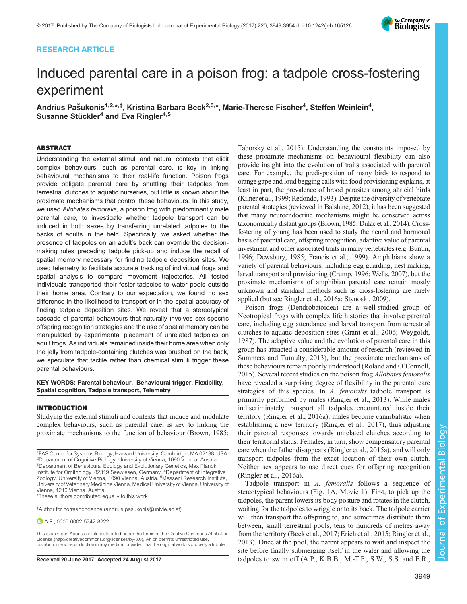## RESEARCH ARTICLE



# Induced parental care in a poison frog: a tadpole cross-fostering experiment

Andrius Pašukonis<sup>1,2,</sup>\*,<sup>‡</sup>, Kristina Barbara Beck<sup>2,3,</sup>\*, Marie-Therese Fischer<sup>4</sup>, Steffen Weinlein<sup>4</sup>, Susanne Stückler<sup>4</sup> and Eva Ringler<sup>4,5</sup>

## ABSTRACT

Understanding the external stimuli and natural contexts that elicit complex behaviours, such as parental care, is key in linking behavioural mechanisms to their real-life function. Poison frogs provide obligate parental care by shuttling their tadpoles from terrestrial clutches to aquatic nurseries, but little is known about the proximate mechanisms that control these behaviours. In this study, we used Allobates femoralis, a poison frog with predominantly male parental care, to investigate whether tadpole transport can be induced in both sexes by transferring unrelated tadpoles to the backs of adults in the field. Specifically, we asked whether the presence of tadpoles on an adult's back can override the decisionmaking rules preceding tadpole pick-up and induce the recall of spatial memory necessary for finding tadpole deposition sites. We used telemetry to facilitate accurate tracking of individual frogs and spatial analysis to compare movement trajectories. All tested individuals transported their foster-tadpoles to water pools outside their home area. Contrary to our expectation, we found no sex difference in the likelihood to transport or in the spatial accuracy of finding tadpole deposition sites. We reveal that a stereotypical cascade of parental behaviours that naturally involves sex-specific offspring recognition strategies and the use of spatial memory can be manipulated by experimental placement of unrelated tadpoles on adult frogs. As individuals remained inside their home area when only the jelly from tadpole-containing clutches was brushed on the back, we speculate that tactile rather than chemical stimuli trigger these parental behaviours.

## KEY WORDS: Parental behaviour, Behavioural trigger, Flexibility, Spatial cognition, Tadpole transport, Telemetry

#### INTRODUCTION

Studying the external stimuli and contexts that induce and modulate complex behaviours, such as parental care, is key to linking the proximate mechanisms to the function of behaviour [\(Brown, 1985](#page-5-0);

‡ Author for correspondence ([andrius.pasukonis@univie.ac.at\)](mailto:andrius.pasukonis@univie.ac.at)

**D** A.P., [0000-0002-5742-8222](http://orcid.org/0000-0002-5742-8222)

This is an Open Access article distributed under the terms of the Creative Commons Attribution License [\(http://creativecommons.org/licenses/by/3.0\)](http://creativecommons.org/licenses/by/3.0), which permits unrestricted use, distribution and reproduction in any medium provided that the original work is properly attributed.

[Taborsky et al., 2015](#page-5-0)). Understanding the constraints imposed by these proximate mechanisms on behavioural flexibility can also provide insight into the evolution of traits associated with parental care. For example, the predisposition of many birds to respond to orange gape and loud begging calls with food provisioning explains, at least in part, the prevalence of brood parasites among altricial birds [\(Kilner et al., 1999](#page-5-0); [Redondo, 1993\)](#page-5-0). Despite the diversity of vertebrate parental strategies (reviewed in [Balshine, 2012\)](#page-5-0), it has been suggested that many neuroendocrine mechanisms might be conserved across taxonomically distant groups [\(Brown, 1985](#page-5-0); [Dulac et al., 2014\)](#page-5-0). Crossfostering of young has been used to study the neural and hormonal basis of parental care, offspring recognition, adaptive value of parental investment and other associated traits in many vertebrates (e.g. [Buntin,](#page-5-0) [1996](#page-5-0); [Dewsbury, 1985; Francis et al., 1999](#page-5-0)). Amphibians show a variety of parental behaviours, including egg guarding, nest making, larval transport and provisioning ([Crump, 1996](#page-5-0); [Wells, 2007](#page-5-0)), but the proximate mechanisms of amphibian parental care remain mostly unknown and standard methods such as cross-fostering are rarely applied (but see [Ringler et al., 2016a; Stynoski, 2009\)](#page-5-0).

Poison frogs (Dendrobatoidea) are a well-studied group of Neotropical frogs with complex life histories that involve parental care, including egg attendance and larval transport from terrestrial clutches to aquatic deposition sites ([Grant et al., 2006](#page-5-0); [Weygoldt,](#page-5-0) [1987\)](#page-5-0). The adaptive value and the evolution of parental care in this group has attracted a considerable amount of research (reviewed in [Summers and Tumulty, 2013](#page-5-0)), but the proximate mechanisms of these behaviours remain poorly understood [\(Roland and O](#page-5-0)'Connell, [2015\)](#page-5-0). Several recent studies on the poison frog Allobates femoralis have revealed a surprising degree of flexibility in the parental care strategies of this species. In A. femoralis tadpole transport is primarily performed by males ([Ringler et al., 2013](#page-5-0)). While males indiscriminately transport all tadpoles encountered inside their territory ([Ringler et al., 2016a](#page-5-0)), males become cannibalistic when establishing a new territory ([Ringler et al., 2017](#page-5-0)), thus adjusting their parental responses towards unrelated clutches according to their territorial status. Females, in turn, show compensatory parental care when the father disappears ([Ringler et al., 2015a\)](#page-5-0), and will only transport tadpoles from the exact location of their own clutch. Neither sex appears to use direct cues for offspring recognition [\(Ringler et al., 2016a\)](#page-5-0).

Tadpole transport in A. femoralis follows a sequence of stereotypical behaviours [\(Fig. 1](#page-1-0)A, [Movie 1](http://movie.biologists.com/video/10.1242/jeb.165126/video-1)). First, to pick up the tadpoles, the parent lowers its body posture and rotates in the clutch, waiting for the tadpoles to wriggle onto its back. The tadpole carrier will then transport the offspring to, and sometimes distribute them between, small terrestrial pools, tens to hundreds of metres away from the territory ([Beck et al., 2017](#page-5-0); [Erich et al., 2015; Ringler et al.,](#page-5-0) [2013\)](#page-5-0). Once at the pool, the parent appears to wait and inspect the site before finally submerging itself in the water and allowing the Received 20 June 2017; Accepted 24 August 2017 tadpoles to swim off (A.P., K.B.B., M.-T.F., S.W., S.S. and E.R.,

<sup>&</sup>lt;sup>1</sup>FAS Center for Systems Biology, Harvard University, Cambridge, MA 02138, USA. 2 Department of Cognitive Biology, University of Vienna, 1090 Vienna, Austria. <sup>3</sup>Department of Behavioural Ecology and Evolutionary Genetics, Max Planck Institute for Ornithology, 82319 Seewiesen, Germany. <sup>4</sup>Department of Integrative<br>Zoology, University of Vienna, 1090 Vienna, Austria. <sup>5</sup>Messerli Research Institute, University of Veterinary Medicine Vienna, Medical University of Vienna, University of Vienna, 1210 Vienna, Austria. \*These authors contributed equally to this work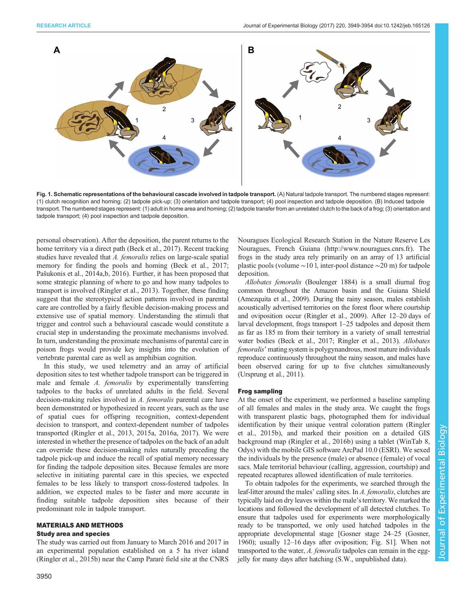<span id="page-1-0"></span>

Fig. 1. Schematic representations of the behavioural cascade involved in tadpole transport. (A) Natural tadpole transport. The numbered stages represent: (1) clutch recognition and homing; (2) tadpole pick-up; (3) orientation and tadpole transport; (4) pool inspection and tadpole deposition. (B) Induced tadpole transport. The numbered stages represent: (1) adult in home area and homing; (2) tadpole transfer from an unrelated clutch to the back of a frog; (3) orientation and tadpole transport; (4) pool inspection and tadpole deposition.

personal observation). After the deposition, the parent returns to the home territory via a direct path ([Beck et al., 2017](#page-5-0)). Recent tracking studies have revealed that A. femoralis relies on large-scale spatial memory for finding the pools and homing [\(Beck et al., 2017](#page-5-0); Paš[ukonis et al., 2014a,b, 2016\)](#page-5-0). Further, it has been proposed that some strategic planning of where to go and how many tadpoles to transport is involved ([Ringler et al., 2013\)](#page-5-0). Together, these finding suggest that the stereotypical action patterns involved in parental care are controlled by a fairly flexible decision-making process and extensive use of spatial memory. Understanding the stimuli that trigger and control such a behavioural cascade would constitute a crucial step in understanding the proximate mechanisms involved. In turn, understanding the proximate mechanisms of parental care in poison frogs would provide key insights into the evolution of vertebrate parental care as well as amphibian cognition.

In this study, we used telemetry and an array of artificial deposition sites to test whether tadpole transport can be triggered in male and female A. femoralis by experimentally transferring tadpoles to the backs of unrelated adults in the field. Several decision-making rules involved in A. femoralis parental care have been demonstrated or hypothesized in recent years, such as the use of spatial cues for offspring recognition, context-dependent decision to transport, and context-dependent number of tadpoles transported ([Ringler et al., 2013](#page-5-0), [2015a, 2016a, 2017\)](#page-5-0). We were interested in whether the presence of tadpoles on the back of an adult can override these decision-making rules naturally preceding the tadpole pick-up and induce the recall of spatial memory necessary for finding the tadpole deposition sites. Because females are more selective in initiating parental care in this species, we expected females to be less likely to transport cross-fostered tadpoles. In addition, we expected males to be faster and more accurate in finding suitable tadpole deposition sites because of their predominant role in tadpole transport.

## MATERIALS AND METHODS

## Study area and species

The study was carried out from January to March 2016 and 2017 in an experimental population established on a 5 ha river island [\(Ringler et al., 2015b](#page-5-0)) near the Camp Pararé field site at the CNRS Nouragues Ecological Research Station in the Nature Reserve Les Nouragues, French Guiana (<http://www.nouragues.cnrs.fr>). The frogs in the study area rely primarily on an array of 13 artificial plastic pools (volume ∼10 l, inter-pool distance ∼20 m) for tadpole deposition.

Allobates femoralis (Boulenger 1884) is a small diurnal frog common throughout the Amazon basin and the Guiana Shield [\(Amezquita et al., 2009](#page-5-0)). During the rainy season, males establish acoustically advertised territories on the forest floor where courtship and oviposition occur [\(Ringler et al., 2009\)](#page-5-0). After 12–20 days of larval development, frogs transport 1–25 tadpoles and deposit them as far as 185 m from their territory in a variety of small terrestrial water bodies ([Beck et al., 2017](#page-5-0); [Ringler et al., 2013\)](#page-5-0). Allobates femoralis' mating system is polygynandrous, most mature individuals reproduce continuously throughout the rainy season, and males have been observed caring for up to five clutches simultaneously [\(Ursprung et al., 2011](#page-5-0)).

## Frog sampling

At the onset of the experiment, we performed a baseline sampling of all females and males in the study area. We caught the frogs with transparent plastic bags, photographed them for individual identification by their unique ventral coloration pattern ([Ringler](#page-5-0) [et al., 2015b](#page-5-0)), and marked their position on a detailed GIS background map [\(Ringler et al., 2016b](#page-5-0)) using a tablet (WinTab 8, Odys) with the mobile GIS software ArcPad 10.0 (ESRI). We sexed the individuals by the presence (male) or absence (female) of vocal sacs. Male territorial behaviour (calling, aggression, courtship) and repeated recaptures allowed identification of male territories.

To obtain tadpoles for the experiments, we searched through the leaf-litter around the males' calling sites. In A. femoralis, clutches are typically laid on dry leaves within the male's territory. We marked the locations and followed the development of all detected clutches. To ensure that tadpoles used for experiments were morphologically ready to be transported, we only used hatched tadpoles in the appropriate developmental stage [Gosner stage 24–25 [\(Gosner,](#page-5-0) [1960\)](#page-5-0); usually 12–16 days after oviposition; [Fig. S1\]](http://jeb.biologists.org/lookup/doi/10.1242/jeb.165126.supplemental). When not transported to the water, A. femoralis tadpoles can remain in the eggjelly for many days after hatching (S.W., unpublished data).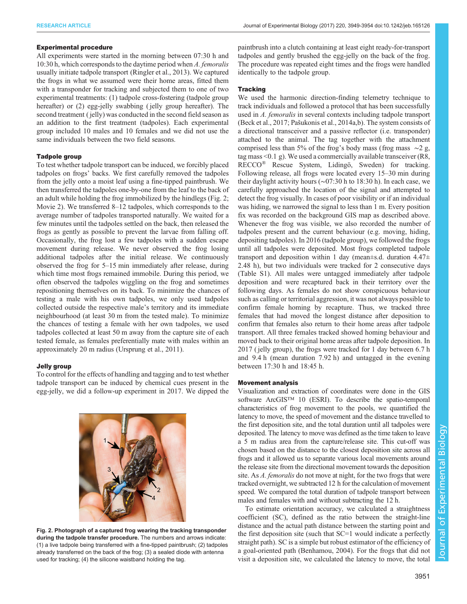## Experimental procedure

All experiments were started in the morning between 07:30 h and 10:30 h, which corresponds to the daytime period when A. femoralis usually initiate tadpole transport ([Ringler et al., 2013](#page-5-0)). We captured the frogs in what we assumed were their home areas, fitted them with a transponder for tracking and subjected them to one of two experimental treatments: (1) tadpole cross-fostering (tadpole group hereafter) or (2) egg-jelly swabbing (jelly group hereafter). The second treatment ( jelly) was conducted in the second field season as an addition to the first treatment (tadpoles). Each experimental group included 10 males and 10 females and we did not use the same individuals between the two field seasons.

## Tadpole group

To test whether tadpole transport can be induced, we forcibly placed tadpoles on frogs' backs. We first carefully removed the tadpoles from the jelly onto a moist leaf using a fine-tipped paintbrush. We then transferred the tadpoles one-by-one from the leaf to the back of an adult while holding the frog immobilized by the hindlegs (Fig. 2; [Movie 2\)](http://movie.biologists.com/video/10.1242/jeb.165126/video-2). We transferred 8–12 tadpoles, which corresponds to the average number of tadpoles transported naturally. We waited for a few minutes until the tadpoles settled on the back, then released the frogs as gently as possible to prevent the larvae from falling off. Occasionally, the frog lost a few tadpoles with a sudden escape movement during release. We never observed the frog losing additional tadpoles after the initial release. We continuously observed the frog for 5–15 min immediately after release, during which time most frogs remained immobile. During this period, we often observed the tadpoles wiggling on the frog and sometimes repositioning themselves on its back. To minimize the chances of testing a male with his own tadpoles, we only used tadpoles collected outside the respective male's territory and its immediate neighbourhood (at least 30 m from the tested male). To minimize the chances of testing a female with her own tadpoles, we used tadpoles collected at least 50 m away from the capture site of each tested female, as females preferentially mate with males within an approximately 20 m radius [\(Ursprung et al., 2011\)](#page-5-0).

## Jelly group

To control for the effects of handling and tagging and to test whether tadpole transport can be induced by chemical cues present in the egg-jelly, we did a follow-up experiment in 2017. We dipped the



Fig. 2. Photograph of a captured frog wearing the tracking transponder during the tadpole transfer procedure. The numbers and arrows indicate: (1) a live tadpole being transferred with a fine-tipped paintbrush; (2) tadpoles already transferred on the back of the frog; (3) a sealed diode with antenna used for tracking; (4) the silicone waistband holding the tag.

paintbrush into a clutch containing at least eight ready-for-transport tadpoles and gently brushed the egg-jelly on the back of the frog. The procedure was repeated eight times and the frogs were handled identically to the tadpole group.

## **Tracking**

We used the harmonic direction-finding telemetry technique to track individuals and followed a protocol that has been successfully used in A. femoralis in several contexts including tadpole transport [\(Beck et al., 2017](#page-5-0); Paš[ukonis et al., 2014a](#page-5-0),[b](#page-5-0)). The system consists of a directional transceiver and a passive reflector (i.e. transponder) attached to the animal. The tag together with the attachment comprised less than 5% of the frog's body mass (frog mass ∼2 g, tag mass <0.1 g). We used a commercially available transceiver (R8, RECCO® Rescue System, Lidingö, Sweden) for tracking. Following release, all frogs were located every 15–30 min during their daylight activity hours (∼07:30 h to 18:30 h). In each case, we carefully approached the location of the signal and attempted to detect the frog visually. In cases of poor visibility or if an individual was hiding, we narrowed the signal to less than 1 m. Every position fix was recorded on the background GIS map as described above. Whenever the frog was visible, we also recorded the number of tadpoles present and the current behaviour (e.g. moving, hiding, depositing tadpoles). In 2016 (tadpole group), we followed the frogs until all tadpoles were deposited. Most frogs completed tadpole transport and deposition within 1 day (mean $\pm$ s.d. duration 4.47 $\pm$ 2.48 h), but two individuals were tracked for 2 consecutive days [\(Table S1\)](http://jeb.biologists.org/lookup/doi/10.1242/jeb.165126.supplemental). All males were untagged immediately after tadpole deposition and were recaptured back in their territory over the following days. As females do not show conspicuous behaviour such as calling or territorial aggression, it was not always possible to confirm female homing by recapture. Thus, we tracked three females that had moved the longest distance after deposition to confirm that females also return to their home areas after tadpole transport. All three females tracked showed homing behaviour and moved back to their original home areas after tadpole deposition. In 2017 ( jelly group), the frogs were tracked for 1 day between 6.7 h and 9.4 h (mean duration 7.92 h) and untagged in the evening between 17:30 h and 18:45 h.

## Movement analysis

Visualization and extraction of coordinates were done in the GIS software ArcGIS™ 10 (ESRI). To describe the spatio-temporal characteristics of frog movement to the pools, we quantified the latency to move, the speed of movement and the distance travelled to the first deposition site, and the total duration until all tadpoles were deposited. The latency to move was defined as the time taken to leave a 5 m radius area from the capture/release site. This cut-off was chosen based on the distance to the closest deposition site across all frogs and it allowed us to separate various local movements around the release site from the directional movement towards the deposition site. As A. femoralis do not move at night, for the two frogs that were tracked overnight, we subtracted 12 h for the calculation of movement speed. We compared the total duration of tadpole transport between males and females with and without subtracting the 12 h.

To estimate orientation accuracy, we calculated a straightness coefficient (SC), defined as the ratio between the straight-line distance and the actual path distance between the starting point and the first deposition site (such that SC=1 would indicate a perfectly straight path). SC is a simple but robust estimator of the efficiency of a goal-oriented path [\(Benhamou, 2004\)](#page-5-0). For the frogs that did not visit a deposition site, we calculated the latency to move, the total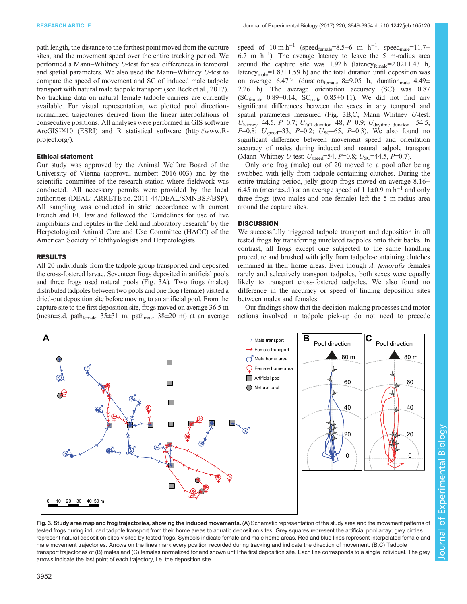path length, the distance to the farthest point moved from the capture sites, and the movement speed over the entire tracking period. We performed a Mann–Whitney U-test for sex differences in temporal and spatial parameters. We also used the Mann–Whitney U-test to compare the speed of movement and SC of induced male tadpole transport with natural male tadpole transport (see [Beck et al., 2017\)](#page-5-0). No tracking data on natural female tadpole carriers are currently available. For visual representation, we plotted pool directionnormalized trajectories derived from the linear interpolations of consecutive positions. All analyses were performed in GIS software ArcGIS™10 (ESRI) and R statistical software [\(http://www.R](http://www.R-project.org/)[project.org/](http://www.R-project.org/)).

#### Ethical statement

Our study was approved by the Animal Welfare Board of the University of Vienna (approval number: 2016-003) and by the scientific committee of the research station where fieldwork was conducted. All necessary permits were provided by the local authorities (DEAL: ARRETE no. 2011-44/DEAL/SMNBSP/BSP). All sampling was conducted in strict accordance with current French and EU law and followed the 'Guidelines for use of live amphibians and reptiles in the field and laboratory research' by the Herpetological Animal Care and Use Committee (HACC) of the American Society of Ichthyologists and Herpetologists.

#### RESULTS

All 20 individuals from the tadpole group transported and deposited the cross-fostered larvae. Seventeen frogs deposited in artificial pools and three frogs used natural pools (Fig. 3A). Two frogs (males) distributed tadpoles between two pools and one frog (female) visited a dried-out deposition site before moving to an artificial pool. From the capture site to the first deposition site, frogs moved on average 36.5 m (mean $\pm$ s.d. path<sub>female</sub>=35 $\pm$ 31 m, path<sub>male</sub>=38 $\pm$ 20 m) at an average

speed of  $10 \text{ m h}^{-1}$  (speed<sub>female</sub>=8.5±6 m h<sup>-1</sup>, speed<sub>male</sub>=11.7± 6.7 m h−<sup>1</sup> ). The average latency to leave the 5 m-radius area around the capture site was  $1.92$  h (latency<sub>female</sub>= $2.02 \pm 1.43$  h, latency<sub>male</sub>=1.83 $\pm$ 1.59 h) and the total duration until deposition was on average 6.47 h (duration  $f_{\text{female}} = 8 \pm 9.05$  h, duration  $m_{\text{male}} = 4.49 \pm 1.05$ 2.26 h). The average orientation accuracy (SC) was 0.87  $SC_{female}=0.89\pm0.14$ ,  $SC_{male}=0.85\pm0.11$ ). We did not find any significant differences between the sexes in any temporal and spatial parameters measured (Fig. 3B,C; Mann–Whitney U-test:  $U_{\text{latency}}$ =44.5, P=0.7;  $U_{\text{full duration}}$  =48, P=0.9;  $U_{\text{daytime duration}}$  =54.5, P=0.8;  $U_{\text{speed}}=33$ , P=0.2;  $U_{\text{SC}}=65$ , P=0.3). We also found no significant difference between movement speed and orientation accuracy of males during induced and natural tadpole transport (Mann–Whitney U-test:  $U_{\text{speed}} = 54$ ,  $P=0.8$ ;  $U_{\text{SC}} = 44.5$ ,  $P=0.7$ ).

Only one frog (male) out of 20 moved to a pool after being swabbed with jelly from tadpole-containing clutches. During the entire tracking period, jelly group frogs moved on average 8.16± 6.45 m (mean±s.d.) at an average speed of 1.1±0.9 m h<sup>-1</sup> and only three frogs (two males and one female) left the 5 m-radius area around the capture sites.

## **DISCUSSION**

We successfully triggered tadpole transport and deposition in all tested frogs by transferring unrelated tadpoles onto their backs. In contrast, all frogs except one subjected to the same handling procedure and brushed with jelly from tadpole-containing clutches remained in their home areas. Even though A. femoralis females rarely and selectively transport tadpoles, both sexes were equally likely to transport cross-fostered tadpoles. We also found no difference in the accuracy or speed of finding deposition sites between males and females.

Our findings show that the decision-making processes and motor actions involved in tadpole pick-up do not need to precede



Fig. 3. Study area map and frog trajectories, showing the induced movements. (A) Schematic representation of the study area and the movement patterns of tested frogs during induced tadpole transport from their home areas to aquatic deposition sites. Grey squares represent the artificial pool array; grey circles represent natural deposition sites visited by tested frogs. Symbols indicate female and male home areas. Red and blue lines represent interpolated female and male movement trajectories. Arrows on the lines mark every position recorded during tracking and indicate the direction of movement. (B,C) Tadpole transport trajectories of (B) males and (C) females normalized for and shown until the first deposition site. Each line corresponds to a single individual. The grey arrows indicate the last point of each trajectory, i.e. the deposition site.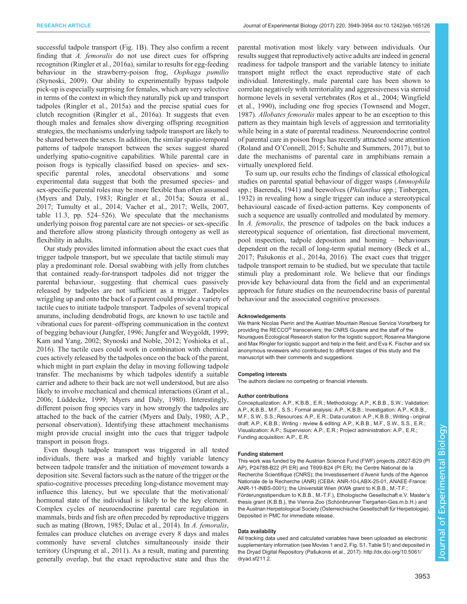successful tadpole transport ([Fig. 1B](#page-1-0)). They also confirm a recent finding that A. femoralis do not use direct cues for offspring recognition ([Ringler et al., 2016a](#page-5-0)), similar to results for egg-feeding behaviour in the strawberry-poison frog, Oophaga pumilio [\(Stynoski, 2009](#page-5-0)). Our ability to experimentally bypass tadpole pick-up is especially surprising for females, which are very selective in terms of the context in which they naturally pick up and transport tadpoles ([Ringler et al., 2015a\)](#page-5-0) and the precise spatial cues for clutch recognition ([Ringler et al., 2016a](#page-5-0)). It suggests that even though males and females show diverging offspring recognition strategies, the mechanisms underlying tadpole transport are likely to be shared between the sexes. In addition, the similar spatio-temporal patterns of tadpole transport between the sexes suggest shared underlying spatio-cognitive capabilities. While parental care in poison frogs is typically classified based on species- and sexspecific parental roles, anecdotal observations and some experimental data suggest that both the presumed species- and sex-specific parental roles may be more flexible than often assumed [\(Myers and Daly, 1983; Ringler et al., 2015a](#page-5-0); [Souza et al.,](#page-5-0) [2017](#page-5-0); [Tumulty et al., 2014; Vacher et al., 2017; Wells, 2007,](#page-5-0) table 11.3, pp. 524–526). We speculate that the mechanisms underlying poison frog parental care are not species- or sex-specific and therefore allow strong plasticity through ontogeny as well as flexibility in adults.

Our study provides limited information about the exact cues that trigger tadpole transport, but we speculate that tactile stimuli may play a predominant role. Dorsal swabbing with jelly from clutches that contained ready-for-transport tadpoles did not trigger the parental behaviour, suggesting that chemical cues passively released by tadpoles are not sufficient as a trigger. Tadpoles wriggling up and onto the back of a parent could provide a variety of tactile cues to initiate tadpole transport. Tadpoles of several tropical anurans, including dendrobatid frogs, are known to use tactile and vibrational cues for parent–offspring communication in the context of begging behaviour ([Jungfer, 1996; Jungfer and Weygoldt, 1999](#page-5-0); [Kam and Yang, 2002; Stynoski and Noble, 2012; Yoshioka et al.,](#page-5-0) [2016](#page-5-0)). The tactile cues could work in combination with chemical cues actively released by the tadpoles once on the back of the parent, which might in part explain the delay in moving following tadpole transfer. The mechanisms by which tadpoles identify a suitable carrier and adhere to their back are not well understood, but are also likely to involve mechanical and chemical interactions [\(Grant et al.,](#page-5-0) [2006](#page-5-0); [Lüddecke, 1999; Myers and Daly, 1980\)](#page-5-0). Interestingly, different poison frog species vary in how strongly the tadpoles are attached to the back of the carrier [\(Myers and Daly, 1980](#page-5-0); A.P., personal observation). Identifying these attachment mechanisms might provide crucial insight into the cues that trigger tadpole transport in poison frogs.

Even though tadpole transport was triggered in all tested individuals, there was a marked and highly variable latency between tadpole transfer and the initiation of movement towards a deposition site. Several factors such as the nature of the trigger or the spatio-cognitive processes preceding long-distance movement may influence this latency, but we speculate that the motivational/ hormonal state of the individual is likely to be the key element. Complex cycles of neuroendocrine parental care regulation in mammals, birds and fish are often preceded by reproductive triggers such as mating [\(Brown, 1985; Dulac et al., 2014\)](#page-5-0). In A. femoralis, females can produce clutches on average every 8 days and males commonly have several clutches simultaneously inside their territory [\(Ursprung et al., 2011\)](#page-5-0). As a result, mating and parenting generally overlap, but the exact reproductive state and thus the

parental motivation most likely vary between individuals. Our results suggest that reproductively active adults are indeed in general readiness for tadpole transport and the variable latency to initiate transport might reflect the exact reproductive state of each individual. Interestingly, male parental care has been shown to correlate negatively with territoriality and aggressiveness via steroid hormone levels in several vertebrates ([Ros et al., 2004](#page-5-0); [Wingfield](#page-5-0) [et al., 1990\)](#page-5-0), including one frog species [\(Townsend and Moger,](#page-5-0) [1987\)](#page-5-0). Allobates femoralis males appear to be an exception to this pattern as they maintain high levels of aggression and territoriality while being in a state of parental readiness. Neuroendocrine control of parental care in poison frogs has recently attracted some attention (Roland and O'[Connell, 2015; Schulte and Summers, 2017\)](#page-5-0), but to date the mechanisms of parental care in amphibians remain a virtually unexplored field.

To sum up, our results echo the findings of classical ethological studies on parental spatial behaviour of digger wasps (Ammophila spp.; [Baerends, 1941\)](#page-5-0) and beewolves (*Philanthus* spp.; [Tinbergen,](#page-5-0) [1932\)](#page-5-0) in revealing how a single trigger can induce a stereotypical behavioural cascade of fixed-action patterns. Key components of such a sequence are usually controlled and modulated by memory. In A. femoralis, the presence of tadpoles on the back induces a stereotypical sequence of orientation, fast directional movement, pool inspection, tadpole deposition and homing – behaviours dependent on the recall of long-term spatial memory [\(Beck et al.,](#page-5-0) [2017;](#page-5-0) Paš[ukonis et al., 2014a, 2016\)](#page-5-0). The exact cues that trigger tadpole transport remain to be studied, but we speculate that tactile stimuli play a predominant role. We believe that our findings provide key behavioural data from the field and an experimental approach for future studies on the neuroendocrine basis of parental behaviour and the associated cognitive processes.

#### Acknowledgements

We thank Nicolas Perrin and the Austrian Mountain Rescue Service Vorarlberg for providing the RECCO® transceivers; the CNRS Guyane and the staff of the Nouragues Ecological Research station for the logistic support; Rosanna Mangione and Max Ringler for logistic support and help in the field; and Eva K. Fischer and six anonymous reviewers who contributed to different stages of this study and the manuscript with their comments and suggestions.

#### Competing interests

The authors declare no competing or financial interests.

#### Author contributions

Conceptualization: A.P., K.B.B., E.R.; Methodology: A.P., K.B.B., S.W.; Validation: A.P., K.B.B., M.F., S.S.; Formal analysis: A.P., K.B.B.; Investigation: A.P., K.B.B., M.F., S.W., S.S.; Resources: A.P., E.R.; Data curation: A.P., K.B.B.; Writing - original draft: A.P., K.B.B.; Writing - review & editing: A.P., K.B.B., M.F., S.W., S.S., E.R.; Visualization: A.P.; Supervision: A.P., E.R.; Project administration: A.P., E.R.; Funding acquisition: A.P., E.R.

#### Funding statement

This work was funded by the Austrian Science Fund (FWF) projects J3827-B29 (P AP), P24788-B22 (PI ER) and T699-B24 (PI ER); the Centre National de la Recherche Scientifique (CNRS); the Investissement d'Avenir funds of the Agence Nationale de la Recherche (ANR) (CEBA: ANR-10-LABX-25-01, ANAEE-France: ANR-11-INBS-0001); the Universität Wien (KWA grant to K.B.B., M.-T.F.; Förderungsstipendium to K.B.B., M.-T.F.), Ethologische Gesellschaft e.V. Master's thesis grant (K.B.B.), the Vienna Zoo (Schönbrunner Tiergarten-Ges.m.b.H.) and the Austrian Herpetological Society (Österreichische Gesellschaft für Herpetologie). Deposited in PMC for immediate release.

#### Data availability

All tracking data used and calculated variables have been uploaded as electronic supplementary information (see [Movies 1](http://movie.biologists.com/video/10.1242/jeb.165126/video-1) and [2,](http://movie.biologists.com/video/10.1242/jeb.165126/video-2) [Fig. S1, Table S1](http://jeb.biologists.org/lookup/doi/10.1242/jeb.165126.supplemental)) and deposited in the Dryad Digital Repository (Paš[ukonis et al., 2017\)](#page-5-0): [http://dx.doi.org/10.5061/](http://dx.doi.org/10.5061/dryad.sf211.2) [dryad.sf211.2.](http://dx.doi.org/10.5061/dryad.sf211.2)